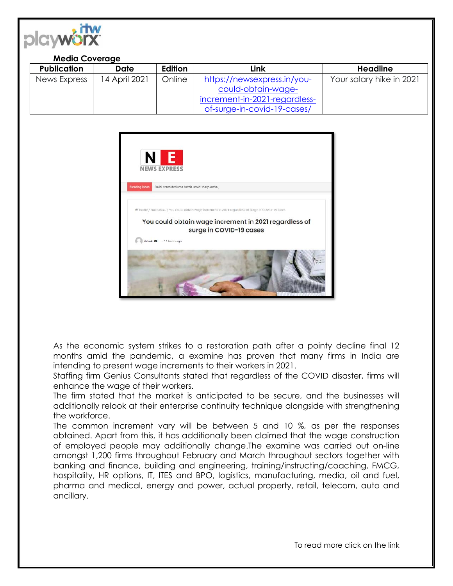

## **Media Coverage**

| <b>Publication</b> | <b>Date</b>   | <b>Edition</b> | Link                          | <b>Headline</b>          |
|--------------------|---------------|----------------|-------------------------------|--------------------------|
| News Express       | 14 April 2021 | Online         | https://newsexpress.in/you-   | Your salary hike in 2021 |
|                    |               |                | could-obtain-wage-            |                          |
|                    |               |                | increment-in-2021-regardless- |                          |
|                    |               |                | of-surge-in-covid-19-cases/   |                          |



As the economic system strikes to a restoration path after a pointy decline final 12 months amid the pandemic, a examine has proven that many firms in India are intending to present wage increments to their workers in 2021.

Staffing firm Genius Consultants stated that regardless of the COVID disaster, firms will enhance the wage of their workers.

The firm stated that the market is anticipated to be secure, and the businesses will additionally relook at their enterprise continuity technique alongside with strengthening the workforce.

The common increment vary will be between 5 and 10 %, as per the responses obtained. Apart from this, it has additionally been claimed that the wage construction of employed people may additionally change.The examine was carried out on-line amongst 1,200 firms throughout February and March throughout sectors together with banking and finance, building and engineering, training/instructing/coaching, FMCG, hospitality, HR options, IT, ITES and BPO, logistics, manufacturing, media, oil and fuel, pharma and medical, energy and power, actual property, retail, telecom, auto and ancillary.

To read more click on the link